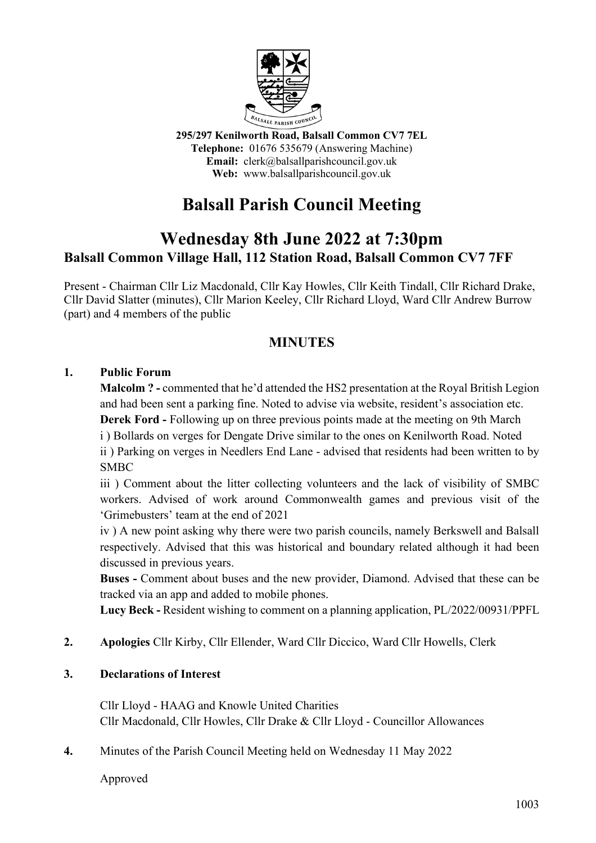

**295/297 Kenilworth Road, Balsall Common CV7 7EL Telephone:** 01676 535679 (Answering Machine) **Email:** clerk@balsallparishcouncil.gov.uk **Web:** www.balsallparishcouncil.gov.uk

## **Balsall Parish Council Meeting**

## **Wednesday 8th June 2022 at 7:30pm Balsall Common Village Hall, 112 Station Road, Balsall Common CV7 7FF**

Present - Chairman Cllr Liz Macdonald, Cllr Kay Howles, Cllr Keith Tindall, Cllr Richard Drake, Cllr David Slatter (minutes), Cllr Marion Keeley, Cllr Richard Lloyd, Ward Cllr Andrew Burrow (part) and 4 members of the public

## **MINUTES**

## **1. Public Forum**

**Malcolm ? -** commented that he'd attended the HS2 presentation at the Royal British Legion and had been sent a parking fine. Noted to advise via website, resident's association etc. **Derek Ford -** Following up on three previous points made at the meeting on 9th March

i ) Bollards on verges for Dengate Drive similar to the ones on Kenilworth Road. Noted

ii ) Parking on verges in Needlers End Lane - advised that residents had been written to by SMBC

iii ) Comment about the litter collecting volunteers and the lack of visibility of SMBC workers. Advised of work around Commonwealth games and previous visit of the 'Grimebusters' team at the end of 2021

iv ) A new point asking why there were two parish councils, namely Berkswell and Balsall respectively. Advised that this was historical and boundary related although it had been discussed in previous years.

**Buses -** Comment about buses and the new provider, Diamond. Advised that these can be tracked via an app and added to mobile phones.

**Lucy Beck -** Resident wishing to comment on a planning application, PL/2022/00931/PPFL

**2. Apologies** Cllr Kirby, Cllr Ellender, Ward Cllr Diccico, Ward Cllr Howells, Clerk

## **3. Declarations of Interest**

Cllr Lloyd - HAAG and Knowle United Charities Cllr Macdonald, Cllr Howles, Cllr Drake & Cllr Lloyd - Councillor Allowances

**4.** Minutes of the Parish Council Meeting held on Wednesday 11 May 2022

Approved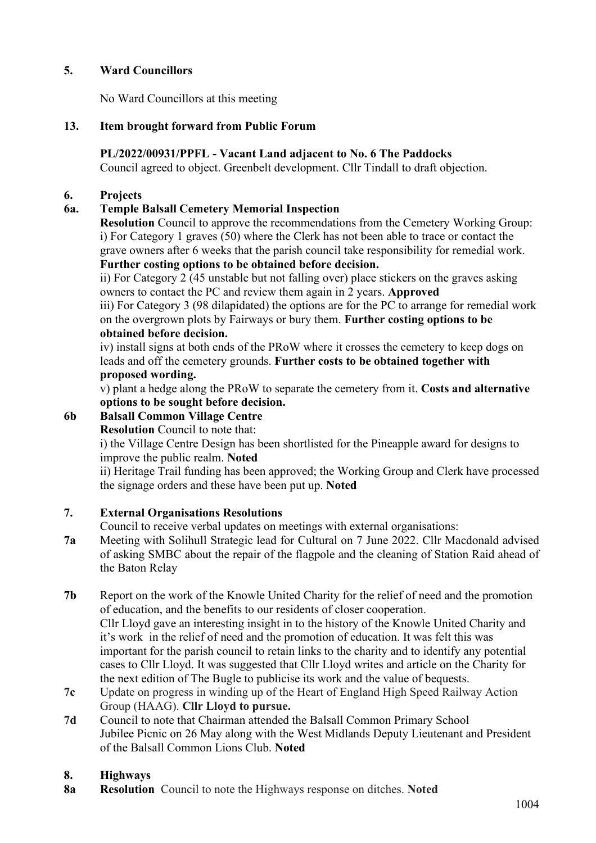## **5. Ward Councillors**

No Ward Councillors at this meeting

## **13. Item brought forward from Public Forum**

## **PL/2022/00931/PPFL - Vacant Land adjacent to No. 6 The Paddocks**

Council agreed to object. Greenbelt development. Cllr Tindall to draft objection.

#### **6. Projects**

## **6a. Temple Balsall Cemetery Memorial Inspection**

**Resolution** Council to approve the recommendations from the Cemetery Working Group: i) For Category 1 graves (50) where the Clerk has not been able to trace or contact the grave owners after 6 weeks that the parish council take responsibility for remedial work. **Further costing options to be obtained before decision.**

ii) For Category 2 (45 unstable but not falling over) place stickers on the graves asking owners to contact the PC and review them again in 2 years. **Approved**

iii) For Category 3 (98 dilapidated) the options are for the PC to arrange for remedial work on the overgrown plots by Fairways or bury them. **Further costing options to be obtained before decision.**

iv) install signs at both ends of the PRoW where it crosses the cemetery to keep dogs on leads and off the cemetery grounds. **Further costs to be obtained together with proposed wording.** 

v) plant a hedge along the PRoW to separate the cemetery from it. **Costs and alternative options to be sought before decision.**

## **6b Balsall Common Village Centre**

**Resolution** Council to note that:

i) the Village Centre Design has been shortlisted for the Pineapple award for designs to improve the public realm. **Noted**

ii) Heritage Trail funding has been approved; the Working Group and Clerk have processed the signage orders and these have been put up. **Noted**

## **7. External Organisations Resolutions**

Council to receive verbal updates on meetings with external organisations:

- **7a** Meeting with Solihull Strategic lead for Cultural on 7 June 2022. Cllr Macdonald advised of asking SMBC about the repair of the flagpole and the cleaning of Station Raid ahead of the Baton Relay
- **7b** Report on the work of the Knowle United Charity for the relief of need and the promotion of education, and the benefits to our residents of closer cooperation. Cllr Lloyd gave an interesting insight in to the history of the Knowle United Charity and it's work in the relief of need and the promotion of education. It was felt this was important for the parish council to retain links to the charity and to identify any potential cases to Cllr Lloyd. It was suggested that Cllr Lloyd writes and article on the Charity for the next edition of The Bugle to publicise its work and the value of bequests.
- **7c** Update on progress in winding up of the Heart of England High Speed Railway Action Group (HAAG). **Cllr Lloyd to pursue.**
- **7d** Council to note that Chairman attended the Balsall Common Primary School Jubilee Picnic on 26 May along with the West Midlands Deputy Lieutenant and President of the Balsall Common Lions Club. **Noted**

## **8. Highways**

**8a Resolution** Council to note the Highways response on ditches. **Noted**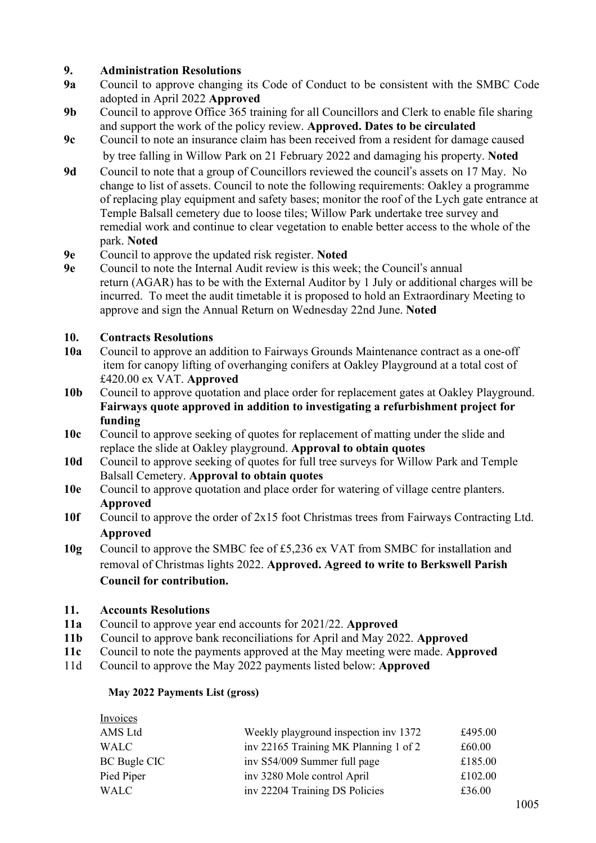# **9. Administration Resolutions**

- **9a** Council to approve changing its Code of Conduct to be consistent with the SMBC Code adopted in April 2022 **Approved**
- **9b** Council to approve Office 365 training for all Councillors and Clerk to enable file sharing and support the work of the policy review. **Approved. Dates to be circulated**
- **9c** Council to note an insurance claim has been received from a resident for damage caused by tree falling in Willow Park on 21 February 2022 and damaging his property. **Noted**
- **9d** Council to note that a group of Councillors reviewed the council's assets on 17 May. No change to list of assets. Council to note the following requirements: Oakley a programme of replacing play equipment and safety bases; monitor the roof of the Lych gate entrance at Temple Balsall cemetery due to loose tiles; Willow Park undertake tree survey and remedial work and continue to clear vegetation to enable better access to the whole of the park. **Noted**
- **9e** Council to approve the updated risk register. **Noted**
- Council to note the Internal Audit review is this week; the Council's annual return (AGAR) has to be with the External Auditor by 1 July or additional charges will be incurred. To meet the audit timetable it is proposed to hold an Extraordinary Meeting to approve and sign the Annual Return on Wednesday 22nd June. **Noted**

#### **10. Contracts Resolutions**

- **10a** Council to approve an addition to Fairways Grounds Maintenance contract as a one-off item for canopy lifting of overhanging conifers at Oakley Playground at a total cost of £420.00 ex VAT. **Approved**
- **10b** Council to approve quotation and place order for replacement gates at Oakley Playground. **Fairways quote approved in addition to investigating a refurbishment project for funding**
- **10c** Council to approve seeking of quotes for replacement of matting under the slide and replace the slide at Oakley playground. **Approval to obtain quotes**
- **10d** Council to approve seeking of quotes for full tree surveys for Willow Park and Temple Balsall Cemetery. **Approval to obtain quotes**
- **10e** Council to approve quotation and place order for watering of village centre planters. **Approved**
- **10f** Council to approve the order of 2x15 foot Christmas trees from Fairways Contracting Ltd. **Approved**
- **10g** Council to approve the SMBC fee of £5,236 ex VAT from SMBC for installation and removal of Christmas lights 2022. **Approved. Agreed to write to Berkswell Parish Council for contribution.**

#### **11. Accounts Resolutions**

Invoices

- **11a** Council to approve year end accounts for 2021/22. **Approved**
- **11b** Council to approve bank reconciliations for April and May 2022. **Approved**
- **11c** Council to note the payments approved at the May meeting were made. **Approved**
- 11d Council to approve the May 2022 payments listed below: **Approved**

#### **May 2022 Payments List (gross)**

| IIIVOICES.          |                                       |         |  |  |
|---------------------|---------------------------------------|---------|--|--|
| AMS Ltd             | Weekly playground inspection inv 1372 |         |  |  |
| WALC                | inv 22165 Training MK Planning 1 of 2 | £60.00  |  |  |
| <b>BC Bugle CIC</b> | inv S54/009 Summer full page          | £185.00 |  |  |
| Pied Piper          | inv 3280 Mole control April           | £102.00 |  |  |
| WALC                | inv 22204 Training DS Policies        | £36.00  |  |  |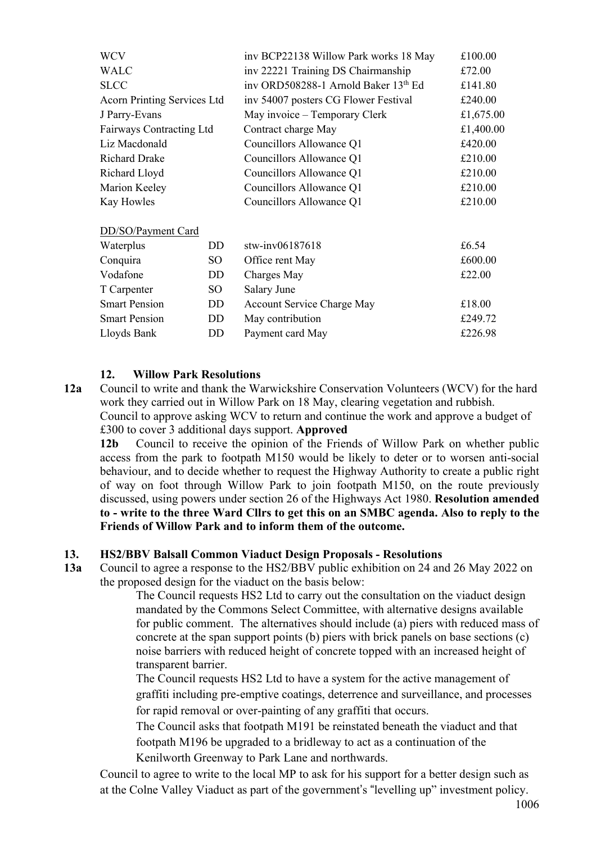| <b>WCV</b>                  |                 | inv BCP22138 Willow Park works 18 May | £100.00   |
|-----------------------------|-----------------|---------------------------------------|-----------|
| <b>WALC</b>                 |                 | inv 22221 Training DS Chairmanship    | £72.00    |
| <b>SLCC</b>                 |                 | inv ORD508288-1 Arnold Baker 13th Ed  | £141.80   |
| Acorn Printing Services Ltd |                 | inv 54007 posters CG Flower Festival  | £240.00   |
| J Parry-Evans               |                 | May invoice – Temporary Clerk         | £1,675.00 |
| Fairways Contracting Ltd    |                 | Contract charge May                   | £1,400.00 |
| Liz Macdonald               |                 | Councillors Allowance Q1              | £420.00   |
| <b>Richard Drake</b>        |                 | Councillors Allowance Q1              | £210.00   |
| Richard Lloyd               |                 | Councillors Allowance Q1              | £210.00   |
| Marion Keeley               |                 | Councillors Allowance Q1              | £210.00   |
| Kay Howles                  |                 | Councillors Allowance Q1              | £210.00   |
| DD/SO/Payment Card          |                 |                                       |           |
| Waterplus                   | DD              | stw-inv06187618                       | £6.54     |
| Conquira                    | SO.             | Office rent May                       | £600.00   |
| Vodafone                    | DD              | Charges May                           | £22.00    |
| T Carpenter                 | SO <sub>1</sub> | Salary June                           |           |
| <b>Smart Pension</b>        | DD              | <b>Account Service Charge May</b>     | £18.00    |
| <b>Smart Pension</b>        | DD.             | May contribution                      | £249.72   |
| Lloyds Bank                 | DD              | Payment card May                      | £226.98   |

#### **12. Willow Park Resolutions**

**12a** Council to write and thank the Warwickshire Conservation Volunteers (WCV) for the hard work they carried out in Willow Park on 18 May, clearing vegetation and rubbish. Council to approve asking WCV to return and continue the work and approve a budget of £300 to cover 3 additional days support. **Approved**

**12b** Council to receive the opinion of the Friends of Willow Park on whether public access from the park to footpath M150 would be likely to deter or to worsen anti-social behaviour, and to decide whether to request the Highway Authority to create a public right of way on foot through Willow Park to join footpath M150, on the route previously discussed, using powers under section 26 of the Highways Act 1980. **Resolution amended to - write to the three Ward Cllrs to get this on an SMBC agenda. Also to reply to the Friends of Willow Park and to inform them of the outcome.**

#### **13. HS2/BBV Balsall Common Viaduct Design Proposals - Resolutions**

**13a** Council to agree a response to the HS2/BBV public exhibition on 24 and 26 May 2022 on the proposed design for the viaduct on the basis below:

The Council requests HS2 Ltd to carry out the consultation on the viaduct design mandated by the Commons Select Committee, with alternative designs available for public comment. The alternatives should include (a) piers with reduced mass of concrete at the span support points (b) piers with brick panels on base sections (c) noise barriers with reduced height of concrete topped with an increased height of transparent barrier.

The Council requests HS2 Ltd to have a system for the active management of graffiti including pre-emptive coatings, deterrence and surveillance, and processes for rapid removal or over-painting of any graffiti that occurs.

The Council asks that footpath M191 be reinstated beneath the viaduct and that footpath M196 be upgraded to a bridleway to act as a continuation of the Kenilworth Greenway to Park Lane and northwards.

 Council to agree to write to the local MP to ask for his support for a better design such as at the Colne Valley Viaduct as part of the government's "levelling up" investment policy.